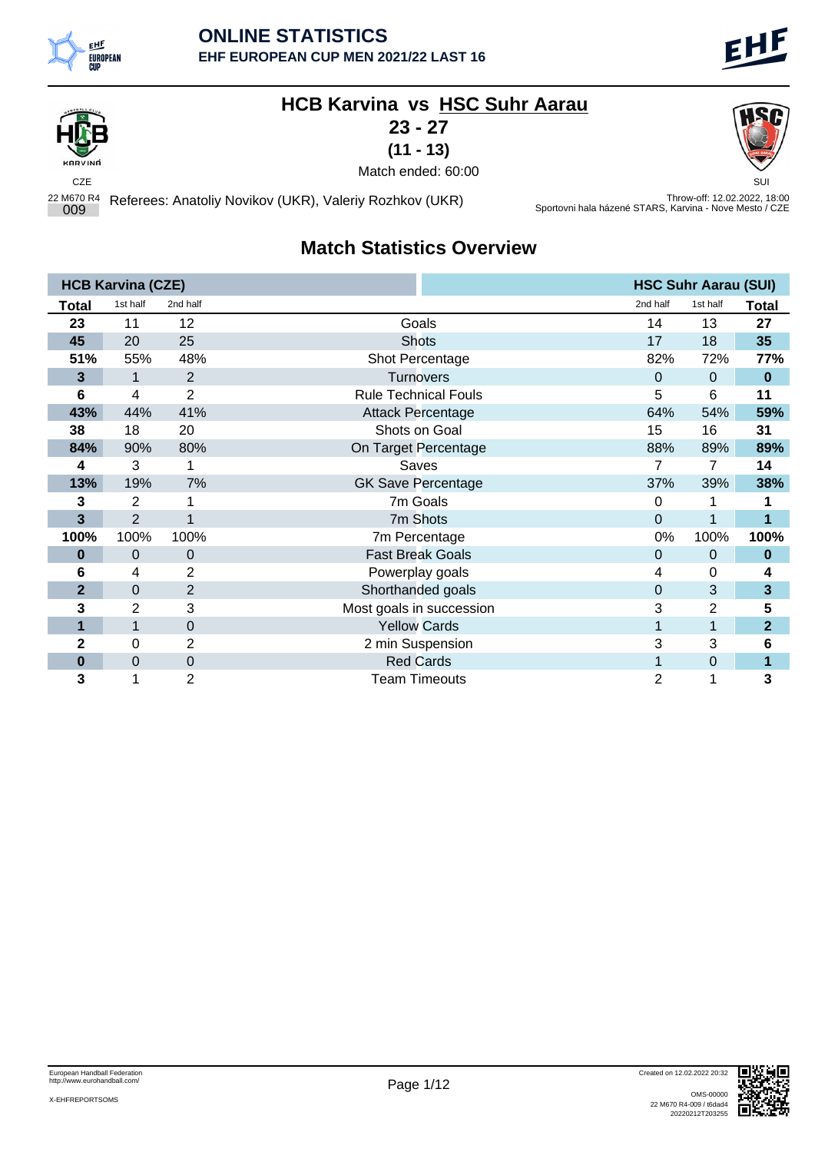

### **HCB Karvina vs HSC Suhr Aarau**

**23 - 27**

**(11 - 13)**

KARVINE

CZE SUI Match ended: 60:00

22 M670 R4 <sup>009</sup> Referees: Anatoliy Novikov (UKR), Valeriy Rozhkov (UKR) Throw-off: 12.02.2022, 18:00 Sportovni hala házené STARS, Karvina - Nove Mesto / CZE

#### **Match Statistics Overview**

|                | <b>HCB Karvina (CZE)</b> |                |                             |          | <b>HSC Suhr Aarau (SUI)</b> |                |
|----------------|--------------------------|----------------|-----------------------------|----------|-----------------------------|----------------|
| Total          | 1st half                 | 2nd half       |                             | 2nd half | 1st half                    | <b>Total</b>   |
| 23             | 11                       | 12             | Goals                       | 14       | 13                          | 27             |
| 45             | 20                       | 25             | <b>Shots</b>                | 17       | 18                          | 35             |
| 51%            | 55%                      | 48%            | Shot Percentage             | 82%      | 72%                         | 77%            |
| 3              | 1                        | 2              | <b>Turnovers</b>            | $\Omega$ | 0                           | $\bf{0}$       |
| 6              | 4                        | $\overline{c}$ | <b>Rule Technical Fouls</b> | 5        | 6                           | 11             |
| 43%            | 44%                      | 41%            | <b>Attack Percentage</b>    | 64%      | 54%                         | 59%            |
| 38             | 18                       | 20             | Shots on Goal               | 15       | 16                          | 31             |
| 84%            | 90%                      | 80%            | On Target Percentage        | 88%      | 89%                         | 89%            |
| 4              | 3                        | 1              | Saves                       | 7        | 7                           | 14             |
| 13%            | 19%                      | 7%             | <b>GK Save Percentage</b>   | 37%      | 39%                         | 38%            |
| 3              | $\overline{2}$           | 1              | 7m Goals                    | 0        | 1                           | 1              |
| 3              | $\overline{2}$           | 1              | 7m Shots                    | $\Omega$ | 1                           | 1              |
| 100%           | 100%                     | 100%           | 7m Percentage               | 0%       | 100%                        | 100%           |
| 0              | 0                        | $\mathbf 0$    | <b>Fast Break Goals</b>     | 0        | 0                           | $\bf{0}$       |
| 6              | 4                        | 2              | Powerplay goals             | 4        | 0                           | 4              |
| $\overline{2}$ | 0                        | $\overline{2}$ | Shorthanded goals           | 0        | 3                           | 3              |
| 3              | 2                        | 3              | Most goals in succession    | 3        | $\overline{2}$              | 5              |
| 1              | 1                        | 0              | <b>Yellow Cards</b>         |          | 1                           | $\overline{2}$ |
| 2              | 0                        | 2              | 2 min Suspension            | 3        | 3                           | 6              |
| 0              | 0                        | 0              | <b>Red Cards</b>            | 1        | 0                           | 1              |
| 3              |                          | 2              | <b>Team Timeouts</b>        | 2        |                             | 3              |

X-EHFREPORTSOMS



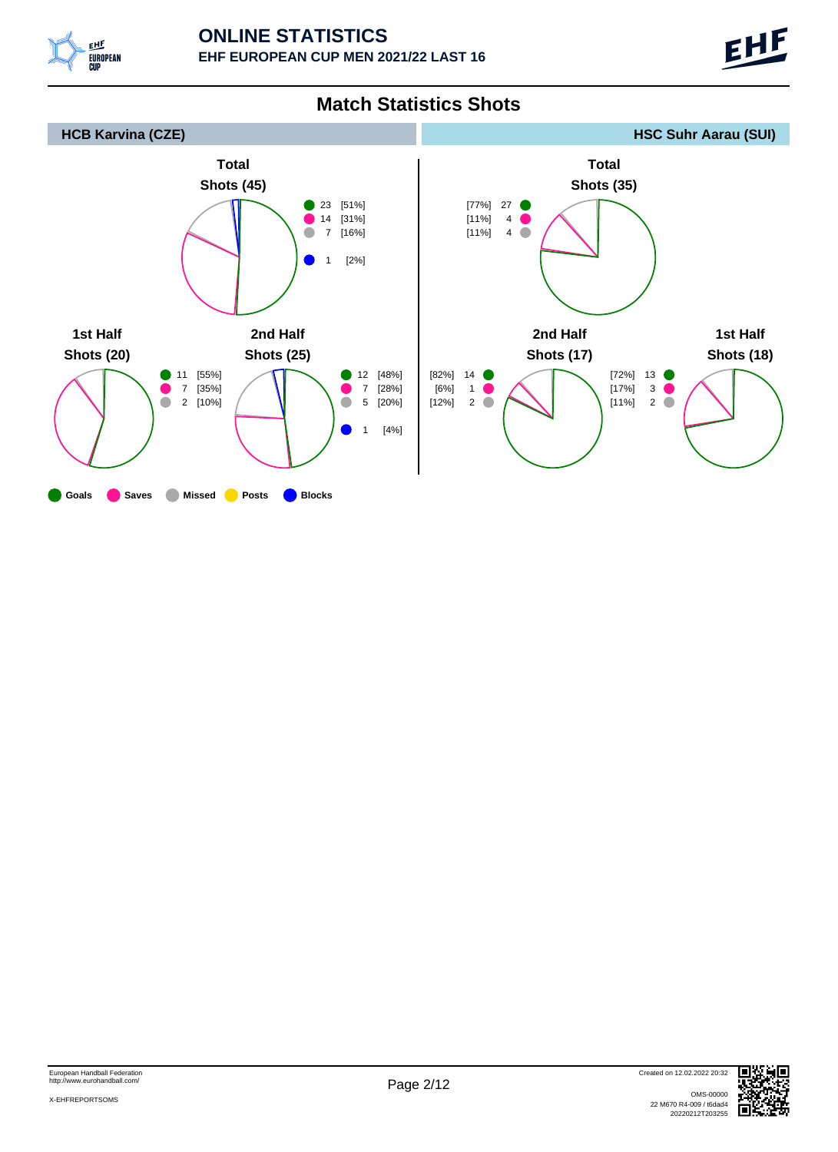



**Match Statistics Shots**

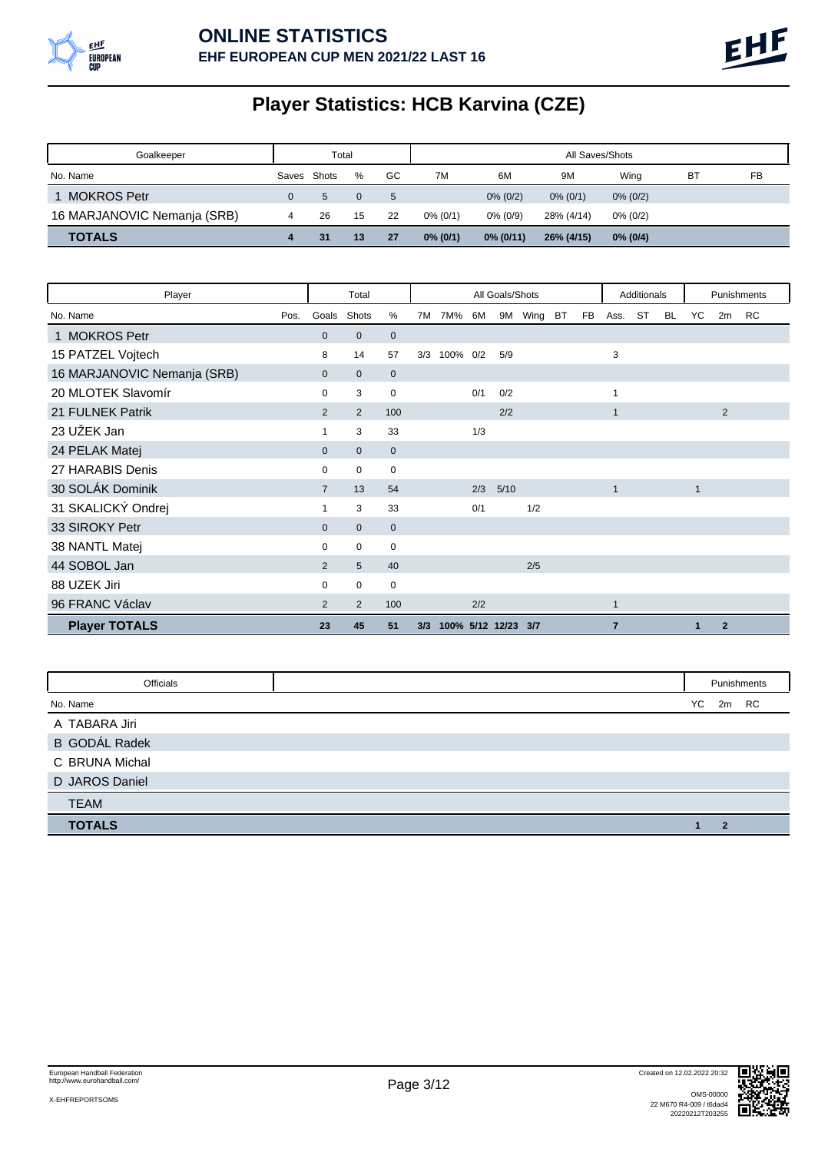

# **Player Statistics: HCB Karvina (CZE)**

| Goalkeeper                  |             | Total |          |    |             |              | All Saves/Shots |             |    |    |
|-----------------------------|-------------|-------|----------|----|-------------|--------------|-----------------|-------------|----|----|
| No. Name                    | Saves Shots |       | %        | GC | 7M          | 6M           | 9M              | Wina        | B1 | FB |
| 1 MOKROS Petr               |             | 5.    | $\Omega$ | 5  |             | $0\%$ (0/2)  | $0\%$ (0/1)     | $0\%$ (0/2) |    |    |
| 16 MARJANOVIC Nemanja (SRB) |             | 26    | 15       | 22 | $0\%$ (0/1) | $0\%$ (0/9)  | 28% (4/14)      | $0\%$ (0/2) |    |    |
| <b>TOTALS</b>               |             | 31    | 13       | 27 | $0\%$ (0/1) | $0\%$ (0/11) | 26% (4/15)      | $0\%$ (0/4) |    |    |

| Player                      |      |                | Total           |              |     |                     |     | All Goals/Shots |      |    |    |                | Additionals |           |              |                | Punishments |
|-----------------------------|------|----------------|-----------------|--------------|-----|---------------------|-----|-----------------|------|----|----|----------------|-------------|-----------|--------------|----------------|-------------|
| No. Name                    | Pos. | Goals          | Shots           | %            | 7M  | 7M%                 | 6M  | 9M              | Wing | BT | FB | Ass.           | ST          | <b>BL</b> | YC           | 2m             | <b>RC</b>   |
| 1 MOKROS Petr               |      | $\mathbf{0}$   | $\mathbf 0$     | $\mathbf 0$  |     |                     |     |                 |      |    |    |                |             |           |              |                |             |
| 15 PATZEL Vojtech           |      | 8              | 14              | 57           | 3/3 | 100% 0/2            |     | 5/9             |      |    |    | 3              |             |           |              |                |             |
| 16 MARJANOVIC Nemanja (SRB) |      | $\mathbf{0}$   | $\mathbf{0}$    | $\mathbf 0$  |     |                     |     |                 |      |    |    |                |             |           |              |                |             |
| 20 MLOTEK Slavomír          |      | 0              | 3               | 0            |     |                     | 0/1 | 0/2             |      |    |    | 1              |             |           |              |                |             |
| 21 FULNEK Patrik            |      | $\overline{2}$ | 2               | 100          |     |                     |     | 2/2             |      |    |    | 1              |             |           |              | $\overline{2}$ |             |
| 23 UŽEK Jan                 |      |                | 3               | 33           |     |                     | 1/3 |                 |      |    |    |                |             |           |              |                |             |
| 24 PELAK Matej              |      | $\mathbf{0}$   | $\mathbf{0}$    | $\mathbf{0}$ |     |                     |     |                 |      |    |    |                |             |           |              |                |             |
| 27 HARABIS Denis            |      | 0              | $\mathbf 0$     | 0            |     |                     |     |                 |      |    |    |                |             |           |              |                |             |
| 30 SOLÁK Dominik            |      | $\overline{7}$ | 13              | 54           |     |                     | 2/3 | 5/10            |      |    |    | $\mathbf{1}$   |             |           | $\mathbf{1}$ |                |             |
| 31 SKALICKÝ Ondrej          |      |                | 3               | 33           |     |                     | 0/1 |                 | 1/2  |    |    |                |             |           |              |                |             |
| 33 SIROKY Petr              |      | $\mathbf 0$    | $\mathbf 0$     | $\mathbf 0$  |     |                     |     |                 |      |    |    |                |             |           |              |                |             |
| 38 NANTL Matej              |      | $\mathbf 0$    | $\mathbf 0$     | $\mathbf 0$  |     |                     |     |                 |      |    |    |                |             |           |              |                |             |
| 44 SOBOL Jan                |      | $\overline{2}$ | $5\overline{)}$ | 40           |     |                     |     |                 | 2/5  |    |    |                |             |           |              |                |             |
| 88 UZEK Jiri                |      | 0              | $\mathbf 0$     | $\mathbf 0$  |     |                     |     |                 |      |    |    |                |             |           |              |                |             |
| 96 FRANC Václav             |      | 2              | 2               | 100          |     |                     | 2/2 |                 |      |    |    | $\mathbf{1}$   |             |           |              |                |             |
| <b>Player TOTALS</b>        |      | 23             | 45              | 51           | 3/3 | 100% 5/12 12/23 3/7 |     |                 |      |    |    | $\overline{7}$ |             |           | $\mathbf{1}$ | $\overline{2}$ |             |

| Officials            |    |    | Punishments |
|----------------------|----|----|-------------|
| No. Name             | YC | 2m | <b>RC</b>   |
| A TABARA Jiri        |    |    |             |
| <b>B GODÁL Radek</b> |    |    |             |
| C BRUNA Michal       |    |    |             |
| D JAROS Daniel       |    |    |             |
| <b>TEAM</b>          |    |    |             |
| <b>TOTALS</b>        |    | 2  |             |

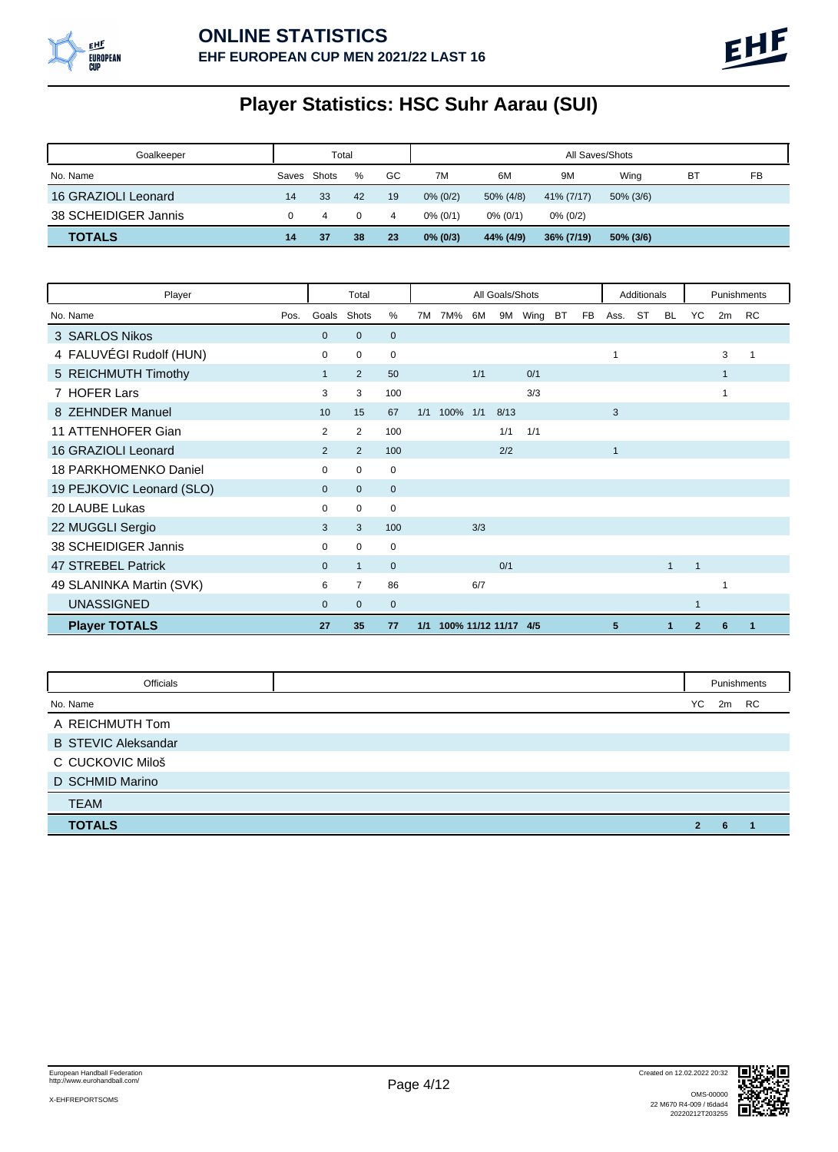

# **Player Statistics: HSC Suhr Aarau (SUI)**

| Goalkeeper           | Total       |    |          |    |             | All Saves/Shots |             |              |    |    |  |  |
|----------------------|-------------|----|----------|----|-------------|-----------------|-------------|--------------|----|----|--|--|
| No. Name             | Saves Shots |    | %        | GC | 7M          | 6M              | 9M          | Wina         | ВT | FB |  |  |
| 16 GRAZIOLI Leonard  | 14          | 33 | 42       | 19 | $0\%$ (0/2) | 50% (4/8)       | 41% (7/17)  | $50\%$ (3/6) |    |    |  |  |
| 38 SCHEIDIGER Jannis |             | 4  | $\Omega$ | 4  | $0\%$ (0/1) | $0\%$ (0/1)     | $0\%$ (0/2) |              |    |    |  |  |
| <b>TOTALS</b>        | 14          | 37 | 38       | 23 | $0\%$ (0/3) | 44% (4/9)       | 36% (7/19)  | 50% (3/6)    |    |    |  |  |

| Player                    |                | Total          |             |     |                      |     | All Goals/Shots |      |    |           |      | Additionals |              |                |              | Punishments |
|---------------------------|----------------|----------------|-------------|-----|----------------------|-----|-----------------|------|----|-----------|------|-------------|--------------|----------------|--------------|-------------|
| No. Name<br>Pos.          | Goals          | Shots          | %           | 7M  | 7M%                  | 6M  | 9M              | Wing | BT | <b>FB</b> | Ass. | <b>ST</b>   | <b>BL</b>    | YC             | 2m           | <b>RC</b>   |
| 3 SARLOS Nikos            | $\mathbf 0$    | $\mathbf{0}$   | $\mathbf 0$ |     |                      |     |                 |      |    |           |      |             |              |                |              |             |
| 4 FALUVÉGI Rudolf (HUN)   | 0              | $\mathbf 0$    | $\mathbf 0$ |     |                      |     |                 |      |    |           | 1    |             |              |                | 3            |             |
| 5 REICHMUTH Timothy       |                | $\overline{2}$ | 50          |     |                      | 1/1 |                 | 0/1  |    |           |      |             |              |                | $\mathbf{1}$ |             |
| 7 HOFER Lars              | 3              | 3              | 100         |     |                      |     |                 | 3/3  |    |           |      |             |              |                | 1            |             |
| 8 ZEHNDER Manuel          | 10             | 15             | 67          | 1/1 | 100%                 | 1/1 | 8/13            |      |    |           | 3    |             |              |                |              |             |
| 11 ATTENHOFER Gian        | 2              | 2              | 100         |     |                      |     | 1/1             | 1/1  |    |           |      |             |              |                |              |             |
| 16 GRAZIOLI Leonard       | $\overline{2}$ | $\overline{2}$ | 100         |     |                      |     | 2/2             |      |    |           | 1    |             |              |                |              |             |
| 18 PARKHOMENKO Daniel     | 0              | $\mathbf 0$    | 0           |     |                      |     |                 |      |    |           |      |             |              |                |              |             |
| 19 PEJKOVIC Leonard (SLO) | $\mathbf{0}$   | $\mathbf{0}$   | $\mathbf 0$ |     |                      |     |                 |      |    |           |      |             |              |                |              |             |
| 20 LAUBE Lukas            | 0              | $\mathbf 0$    | $\mathbf 0$ |     |                      |     |                 |      |    |           |      |             |              |                |              |             |
| 22 MUGGLI Sergio          | 3              | 3              | 100         |     |                      | 3/3 |                 |      |    |           |      |             |              |                |              |             |
| 38 SCHEIDIGER Jannis      | 0              | $\mathbf 0$    | $\mathbf 0$ |     |                      |     |                 |      |    |           |      |             |              |                |              |             |
| 47 STREBEL Patrick        | $\mathbf{0}$   | $\mathbf{1}$   | $\mathbf 0$ |     |                      |     | 0/1             |      |    |           |      |             | $\mathbf{1}$ | $\mathbf{1}$   |              |             |
| 49 SLANINKA Martin (SVK)  | 6              | $\overline{7}$ | 86          |     |                      | 6/7 |                 |      |    |           |      |             |              |                | 1            |             |
| <b>UNASSIGNED</b>         | $\mathbf{0}$   | $\mathbf{0}$   | $\mathbf 0$ |     |                      |     |                 |      |    |           |      |             |              | 1              |              |             |
| <b>Player TOTALS</b>      | 27             | 35             | 77          | 1/1 | 100% 11/12 11/17 4/5 |     |                 |      |    |           | 5    |             | 1            | $\overline{2}$ | 6            |             |

| Officials                  |                |    | Punishments |
|----------------------------|----------------|----|-------------|
| No. Name                   | YC             | 2m | RC          |
| A REICHMUTH Tom            |                |    |             |
| <b>B STEVIC Aleksandar</b> |                |    |             |
| C CUCKOVIC Miloš           |                |    |             |
| D SCHMID Marino            |                |    |             |
| <b>TEAM</b>                |                |    |             |
| <b>TOTALS</b>              | $\overline{2}$ | 6  |             |

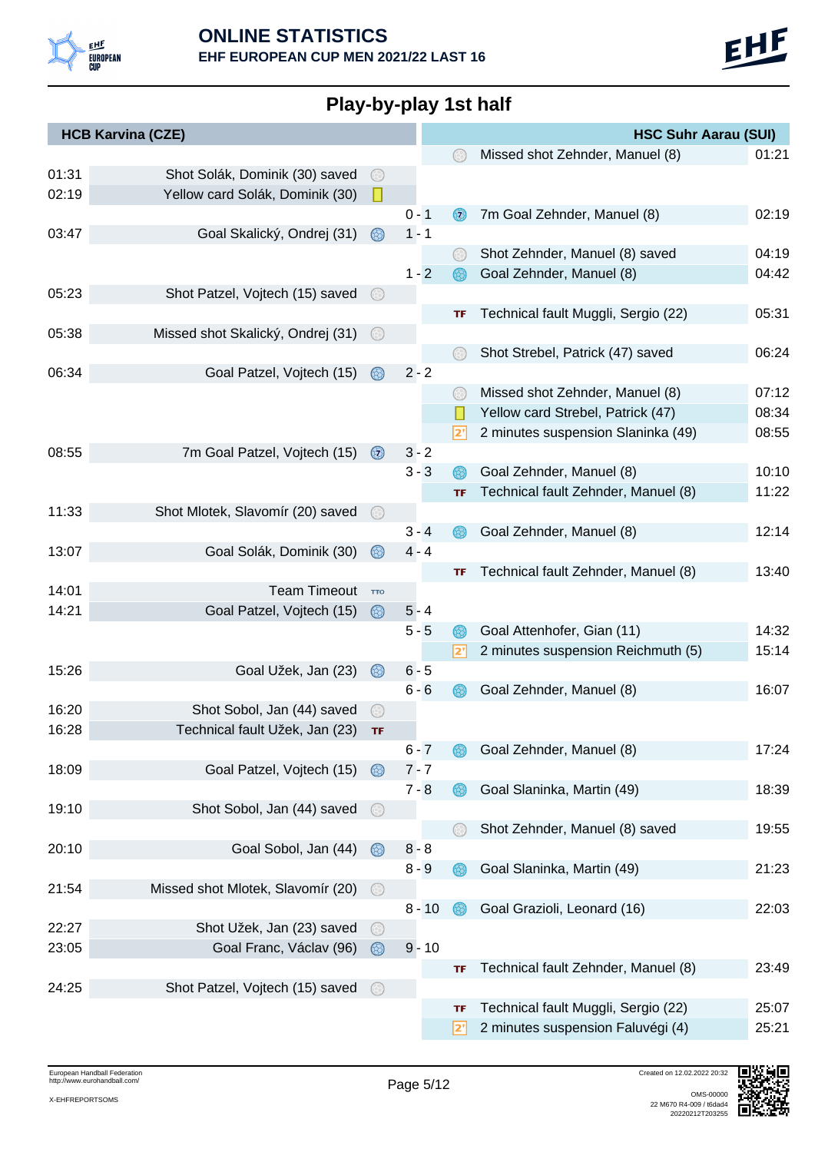

# **Play-by-play 1st half**

|       | <b>HCB Karvina (CZE)</b>          |                |          |     | <b>HSC Suhr Aarau (SUI)</b>         |       |  |
|-------|-----------------------------------|----------------|----------|-----|-------------------------------------|-------|--|
|       |                                   |                |          |     | Missed shot Zehnder, Manuel (8)     | 01:21 |  |
| 01:31 | Shot Solák, Dominik (30) saved    | 63)            |          |     |                                     |       |  |
| 02:19 | Yellow card Solák, Dominik (30)   | П              |          |     |                                     |       |  |
|       |                                   |                | $0 - 1$  | 67) | 7m Goal Zehnder, Manuel (8)         | 02:19 |  |
| 03:47 | Goal Skalický, Ondrej (31)        | 63)            | $1 - 1$  |     |                                     |       |  |
|       |                                   |                |          |     | Shot Zehnder, Manuel (8) saved      | 04:19 |  |
|       |                                   |                | $1 - 2$  |     | Goal Zehnder, Manuel (8)            | 04:42 |  |
| 05:23 | Shot Patzel, Vojtech (15) saved   | $(\div)$       |          |     |                                     |       |  |
|       |                                   |                |          | TF  | Technical fault Muggli, Sergio (22) | 05:31 |  |
| 05:38 | Missed shot Skalický, Ondrej (31) |                |          |     |                                     |       |  |
|       |                                   |                |          |     | Shot Strebel, Patrick (47) saved    | 06:24 |  |
| 06:34 | Goal Patzel, Vojtech (15)         | $\circledcirc$ | $2 - 2$  |     |                                     |       |  |
|       |                                   |                |          |     | Missed shot Zehnder, Manuel (8)     | 07:12 |  |
|       |                                   |                |          |     | Yellow card Strebel, Patrick (47)   | 08:34 |  |
|       |                                   |                |          | 2'  | 2 minutes suspension Slaninka (49)  | 08:55 |  |
| 08:55 | 7m Goal Patzel, Vojtech (15)      | $\odot$        | $3 - 2$  |     |                                     |       |  |
|       |                                   |                | $3 - 3$  | 68) | Goal Zehnder, Manuel (8)            | 10:10 |  |
|       |                                   |                |          | TF  | Technical fault Zehnder, Manuel (8) | 11:22 |  |
| 11:33 | Shot Mlotek, Slavomír (20) saved  |                |          |     |                                     |       |  |
|       |                                   |                | $3 - 4$  |     | Goal Zehnder, Manuel (8)            | 12:14 |  |
| 13:07 | Goal Solák, Dominik (30)          | 68)            | $4 - 4$  |     |                                     |       |  |
|       |                                   |                |          | TF  | Technical fault Zehnder, Manuel (8) | 13:40 |  |
| 14:01 | <b>Team Timeout</b>               | <b>TTO</b>     |          |     |                                     |       |  |
| 14:21 | Goal Patzel, Vojtech (15)         | ⊛              | $5 - 4$  |     |                                     |       |  |
|       |                                   |                | $5 - 5$  | 68) | Goal Attenhofer, Gian (11)          | 14:32 |  |
|       |                                   |                |          | 2'  | 2 minutes suspension Reichmuth (5)  | 15:14 |  |
| 15:26 | Goal Užek, Jan (23)               | 68)            | $6 - 5$  |     |                                     |       |  |
|       |                                   |                | $6 - 6$  |     | Goal Zehnder, Manuel (8)            | 16:07 |  |
| 16:20 | Shot Sobol, Jan (44) saved        | $(\div)$       |          |     |                                     |       |  |
| 16:28 | Technical fault Užek, Jan (23)    | TF             |          |     |                                     |       |  |
|       |                                   |                | $6 - 7$  |     | Goal Zehnder, Manuel (8)            | 17:24 |  |
| 18:09 | Goal Patzel, Vojtech (15)         | $\circledcirc$ | $7 - 7$  |     |                                     |       |  |
|       |                                   |                | $7 - 8$  | 68) | Goal Slaninka, Martin (49)          | 18:39 |  |
| 19:10 | Shot Sobol, Jan (44) saved        | $\odot$        |          |     |                                     |       |  |
|       |                                   |                |          |     | Shot Zehnder, Manuel (8) saved      | 19:55 |  |
| 20:10 | Goal Sobol, Jan (44)              | $\circledcirc$ | $8 - 8$  |     |                                     |       |  |
|       |                                   |                | $8 - 9$  |     | Goal Slaninka, Martin (49)          | 21:23 |  |
| 21:54 | Missed shot Mlotek, Slavomír (20) | $\odot$        |          |     |                                     |       |  |
|       |                                   |                | $8 - 10$ |     | Goal Grazioli, Leonard (16)         | 22:03 |  |
| 22:27 | Shot Užek, Jan (23) saved         |                |          |     |                                     |       |  |
| 23:05 | Goal Franc, Václav (96)           | ⊛              | $9 - 10$ |     |                                     |       |  |
|       |                                   |                |          | TF  | Technical fault Zehnder, Manuel (8) | 23:49 |  |
| 24:25 | Shot Patzel, Vojtech (15) saved   | 63)            |          |     |                                     |       |  |
|       |                                   |                |          | TF  | Technical fault Muggli, Sergio (22) | 25:07 |  |
|       |                                   |                |          | י2  | 2 minutes suspension Faluvégi (4)   | 25:21 |  |

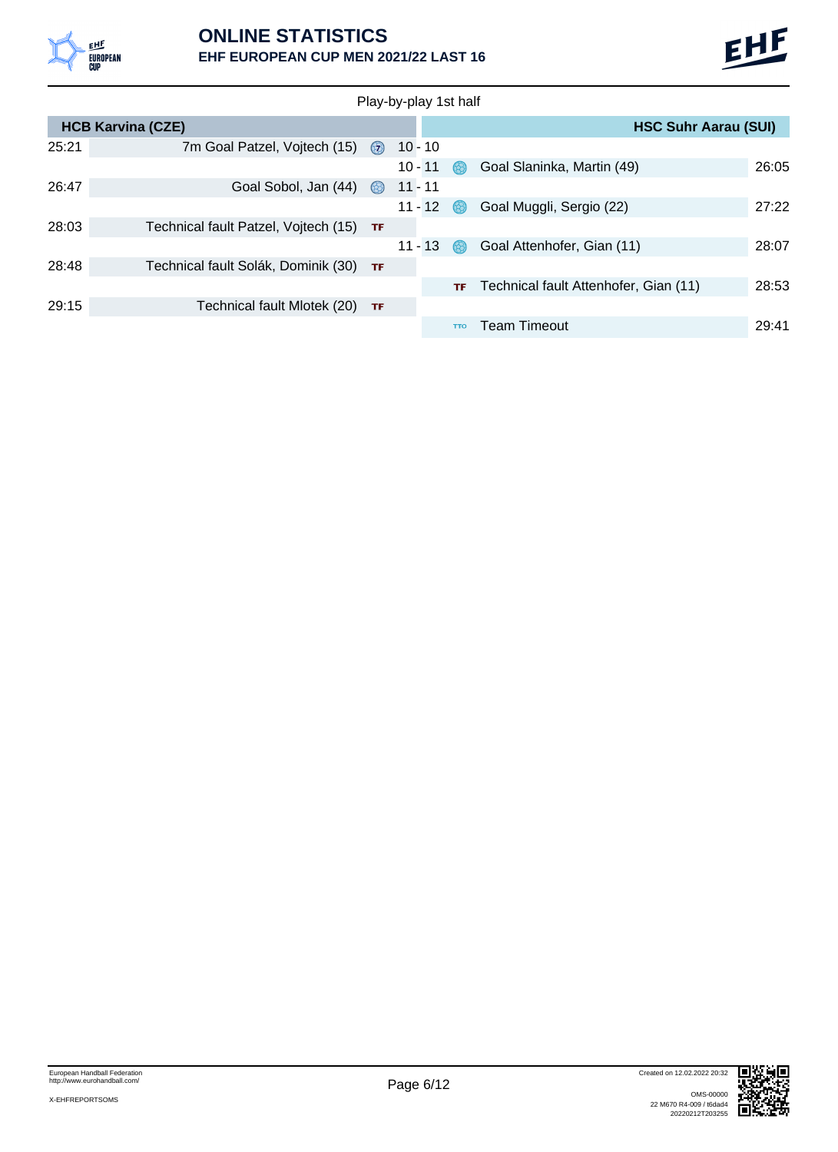

#### **ONLINE STATISTICS EHF EUROPEAN CUP MEN 2021/22 LAST 16**

|       | Play-by-play 1st half                   |                |           |            |                                       |       |  |  |  |  |  |  |  |
|-------|-----------------------------------------|----------------|-----------|------------|---------------------------------------|-------|--|--|--|--|--|--|--|
|       | <b>HCB Karvina (CZE)</b>                |                |           |            | <b>HSC Suhr Aarau (SUI)</b>           |       |  |  |  |  |  |  |  |
| 25:21 | 7m Goal Patzel, Vojtech (15)            | (57)           | $10 - 10$ |            |                                       |       |  |  |  |  |  |  |  |
|       |                                         |                | $10 - 11$ |            | Goal Slaninka, Martin (49)            | 26:05 |  |  |  |  |  |  |  |
| 26:47 | Goal Sobol, Jan (44)                    | $\circledcirc$ | $11 - 11$ |            |                                       |       |  |  |  |  |  |  |  |
|       |                                         |                | $11 - 12$ |            | Goal Muggli, Sergio (22)              | 27:22 |  |  |  |  |  |  |  |
| 28:03 | Technical fault Patzel, Vojtech (15) TF |                |           |            |                                       |       |  |  |  |  |  |  |  |
|       |                                         |                | $11 - 13$ | 68.        | Goal Attenhofer, Gian (11)            | 28:07 |  |  |  |  |  |  |  |
| 28:48 | Technical fault Solák, Dominik (30) TF  |                |           |            |                                       |       |  |  |  |  |  |  |  |
|       |                                         |                |           | TF         | Technical fault Attenhofer, Gian (11) | 28:53 |  |  |  |  |  |  |  |
| 29:15 | Technical fault Mlotek (20)             | TF             |           |            |                                       |       |  |  |  |  |  |  |  |
|       |                                         |                |           | <b>TTO</b> | Team Timeout                          | 29:41 |  |  |  |  |  |  |  |

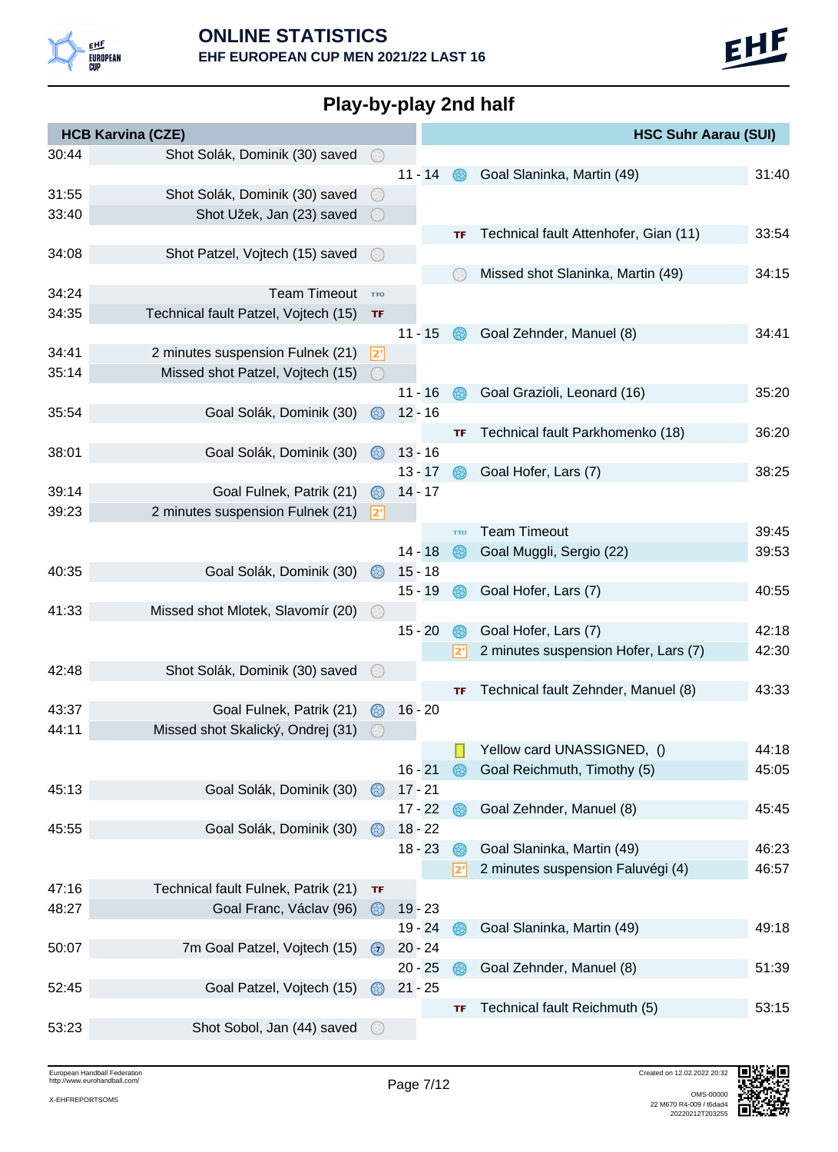

| Play-by-play 2nd half |  |
|-----------------------|--|
|-----------------------|--|

|       | <b>HCB Karvina (CZE)</b>                                      |                     |           |            | <b>HSC Suhr Aarau (SUI)</b>           |       |
|-------|---------------------------------------------------------------|---------------------|-----------|------------|---------------------------------------|-------|
| 30:44 | Shot Solák, Dominik (30) saved                                | $\odot$             |           |            |                                       |       |
|       |                                                               |                     | $11 - 14$ |            | Goal Slaninka, Martin (49)            | 31:40 |
| 31:55 | Shot Solák, Dominik (30) saved                                | (3)                 |           |            |                                       |       |
| 33:40 | Shot Užek, Jan (23) saved                                     | $(\leftrightarrow)$ |           |            |                                       |       |
|       |                                                               |                     |           | TF         | Technical fault Attenhofer, Gian (11) | 33:54 |
| 34:08 | Shot Patzel, Vojtech (15) saved                               |                     |           |            |                                       |       |
|       |                                                               |                     |           |            | Missed shot Slaninka, Martin (49)     | 34:15 |
| 34:24 | <b>Team Timeout</b>                                           | <b>TTO</b>          |           |            |                                       |       |
| 34:35 | Technical fault Patzel, Vojtech (15)                          | TF                  |           |            |                                       |       |
|       |                                                               |                     | $11 - 15$ |            | Goal Zehnder, Manuel (8)              | 34:41 |
| 34:41 | 2 minutes suspension Fulnek (21)                              | 2"                  |           |            |                                       |       |
| 35:14 | Missed shot Patzel, Vojtech (15)                              | $\circledcirc$      |           |            |                                       |       |
|       |                                                               |                     | $11 - 16$ |            | Goal Grazioli, Leonard (16)           | 35:20 |
| 35:54 | Goal Solák, Dominik (30)                                      | 63)                 | $12 - 16$ |            |                                       |       |
|       |                                                               |                     |           | TF         | Technical fault Parkhomenko (18)      | 36:20 |
| 38:01 | Goal Solák, Dominik (30)                                      | 68)                 | $13 - 16$ |            |                                       |       |
|       |                                                               |                     | $13 - 17$ | 63.        | Goal Hofer, Lars (7)                  | 38:25 |
| 39:14 | Goal Fulnek, Patrik (21)                                      | 68)                 | $14 - 17$ |            |                                       |       |
| 39:23 | 2 minutes suspension Fulnek (21)                              | 2'                  |           |            |                                       |       |
|       |                                                               |                     |           | <b>TTO</b> | <b>Team Timeout</b>                   | 39:45 |
|       |                                                               |                     | $14 - 18$ | 68.        | Goal Muggli, Sergio (22)              | 39:53 |
| 40:35 | Goal Solák, Dominik (30)                                      | 68)                 | $15 - 18$ |            |                                       |       |
|       |                                                               |                     | $15 - 19$ | 68.        | Goal Hofer, Lars (7)                  | 40:55 |
| 41:33 | Missed shot Mlotek, Slavomír (20)                             |                     |           |            |                                       |       |
|       |                                                               |                     | $15 - 20$ |            | Goal Hofer, Lars (7)                  | 42:18 |
|       |                                                               |                     |           | 2'         | 2 minutes suspension Hofer, Lars (7)  | 42:30 |
| 42:48 | Shot Solák, Dominik (30) saved                                |                     |           |            |                                       |       |
| 43:37 |                                                               |                     |           | TF         | Technical fault Zehnder, Manuel (8)   | 43:33 |
| 44:11 | Goal Fulnek, Patrik (21)<br>Missed shot Skalický, Ondrej (31) | $\circledcirc$      | $16 - 20$ |            |                                       |       |
|       |                                                               | 63                  |           |            | Yellow card UNASSIGNED, ()            | 44:18 |
|       |                                                               |                     | $16 - 21$ | 68         | Goal Reichmuth, Timothy (5)           | 45:05 |
| 45:13 | Goal Solák, Dominik (30)                                      | ⊛                   | $17 - 21$ |            |                                       |       |
|       |                                                               |                     | $17 - 22$ | 68         | Goal Zehnder, Manuel (8)              | 45:45 |
| 45:55 | Goal Solák, Dominik (30)                                      | $\circledcirc$      | $18 - 22$ |            |                                       |       |
|       |                                                               |                     | $18 - 23$ | 68         | Goal Slaninka, Martin (49)            | 46:23 |
|       |                                                               |                     |           | 2'         | 2 minutes suspension Faluvégi (4)     | 46:57 |
| 47:16 | Technical fault Fulnek, Patrik (21)                           | TF                  |           |            |                                       |       |
| 48:27 | Goal Franc, Václav (96)                                       | $\circledcirc$      | $19 - 23$ |            |                                       |       |
|       |                                                               |                     | $19 - 24$ |            | Goal Slaninka, Martin (49)            | 49:18 |
| 50:07 | 7m Goal Patzel, Vojtech (15)                                  | $\circled{z}$       | $20 - 24$ |            |                                       |       |
|       |                                                               |                     | $20 - 25$ | 68.        | Goal Zehnder, Manuel (8)              | 51:39 |
| 52:45 | Goal Patzel, Vojtech (15)                                     | $\circledcirc$      | $21 - 25$ |            |                                       |       |
|       |                                                               |                     |           | TF         | Technical fault Reichmuth (5)         | 53:15 |
| 53:23 | Shot Sobol, Jan (44) saved                                    |                     |           |            |                                       |       |
|       |                                                               |                     |           |            |                                       |       |

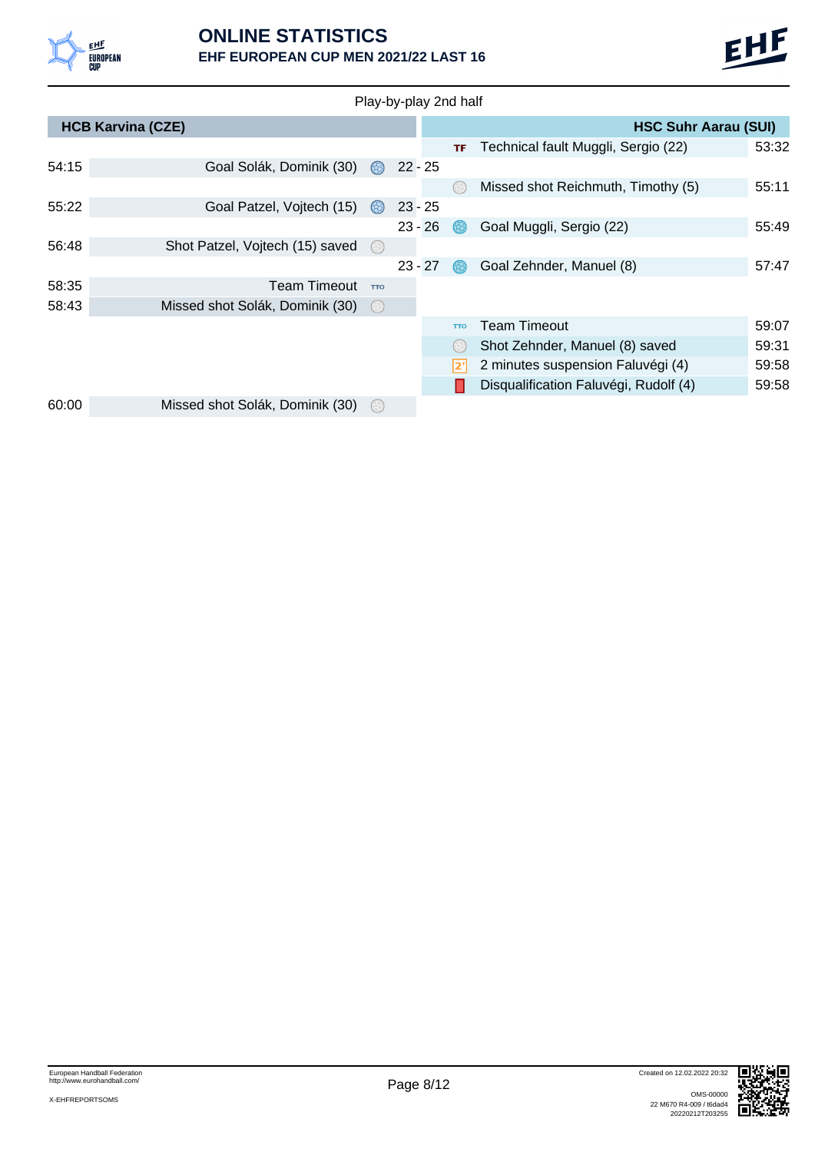



| Play-by-play 2nd half |                                 |                     |  |           |                     |                                       |       |  |  |  |  |
|-----------------------|---------------------------------|---------------------|--|-----------|---------------------|---------------------------------------|-------|--|--|--|--|
|                       | <b>HCB Karvina (CZE)</b>        |                     |  |           |                     | <b>HSC Suhr Aarau (SUI)</b>           |       |  |  |  |  |
|                       |                                 |                     |  |           | TF                  | Technical fault Muggli, Sergio (22)   | 53:32 |  |  |  |  |
| 54:15                 | Goal Solák, Dominik (30)        |                     |  | $22 - 25$ |                     |                                       |       |  |  |  |  |
|                       |                                 |                     |  |           | 63                  | Missed shot Reichmuth, Timothy (5)    | 55:11 |  |  |  |  |
| 55:22                 | Goal Patzel, Vojtech (15)       | $\circledcirc$      |  | $23 - 25$ |                     |                                       |       |  |  |  |  |
|                       |                                 |                     |  | $23 - 26$ |                     | Goal Muggli, Sergio (22)              | 55:49 |  |  |  |  |
| 56:48                 | Shot Patzel, Vojtech (15) saved | $(\div)$            |  |           |                     |                                       |       |  |  |  |  |
|                       |                                 |                     |  | $23 - 27$ | 68.                 | Goal Zehnder, Manuel (8)              | 57:47 |  |  |  |  |
| 58:35                 | <b>Team Timeout</b>             | <b>TTO</b>          |  |           |                     |                                       |       |  |  |  |  |
| 58:43                 | Missed shot Solák, Dominik (30) | $(\leftrightarrow)$ |  |           |                     |                                       |       |  |  |  |  |
|                       |                                 |                     |  |           | <b>TTO</b>          | <b>Team Timeout</b>                   | 59:07 |  |  |  |  |
|                       |                                 |                     |  |           | $(\leftrightarrow)$ | Shot Zehnder, Manuel (8) saved        | 59:31 |  |  |  |  |
|                       |                                 |                     |  |           | י2'                 | 2 minutes suspension Faluvégi (4)     | 59:58 |  |  |  |  |
|                       |                                 |                     |  |           |                     | Disqualification Faluvégi, Rudolf (4) | 59:58 |  |  |  |  |
| 60:00                 | Missed shot Solák, Dominik (30) | $(\leftrightarrow)$ |  |           |                     |                                       |       |  |  |  |  |

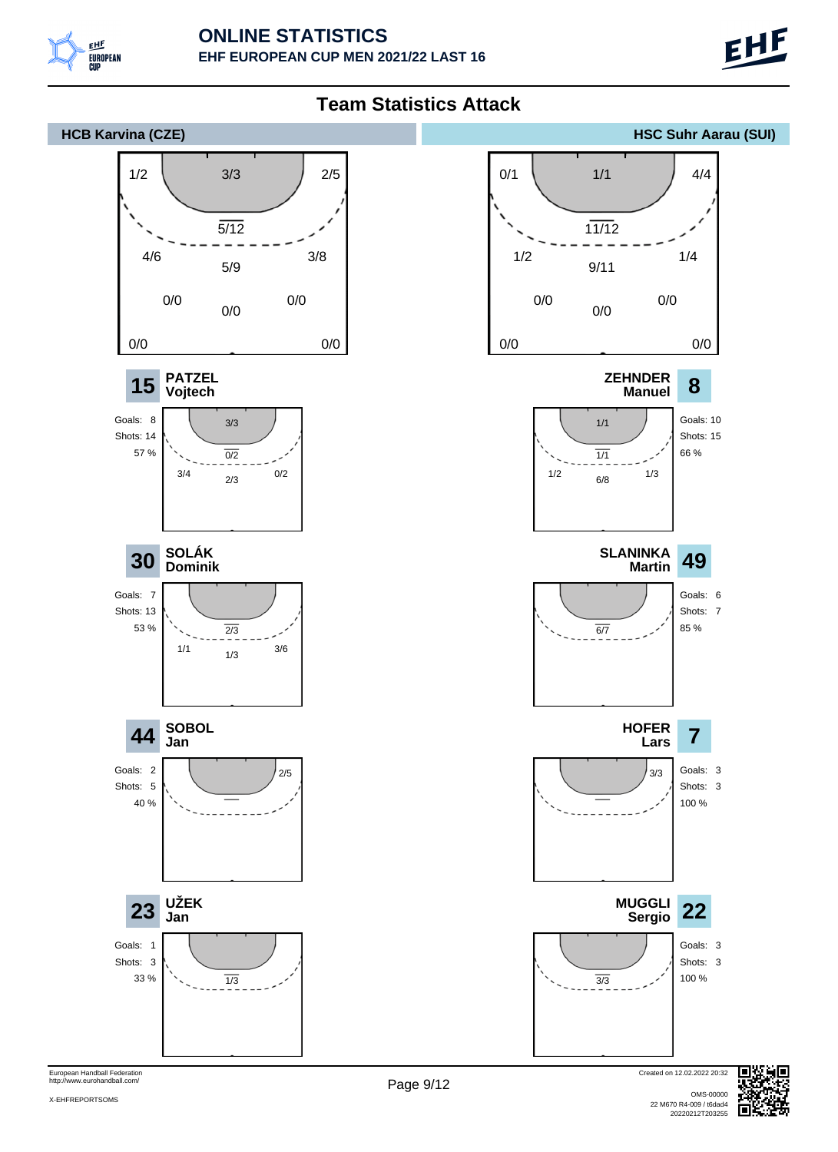



European Handball Federation http://www.eurohandball.com/

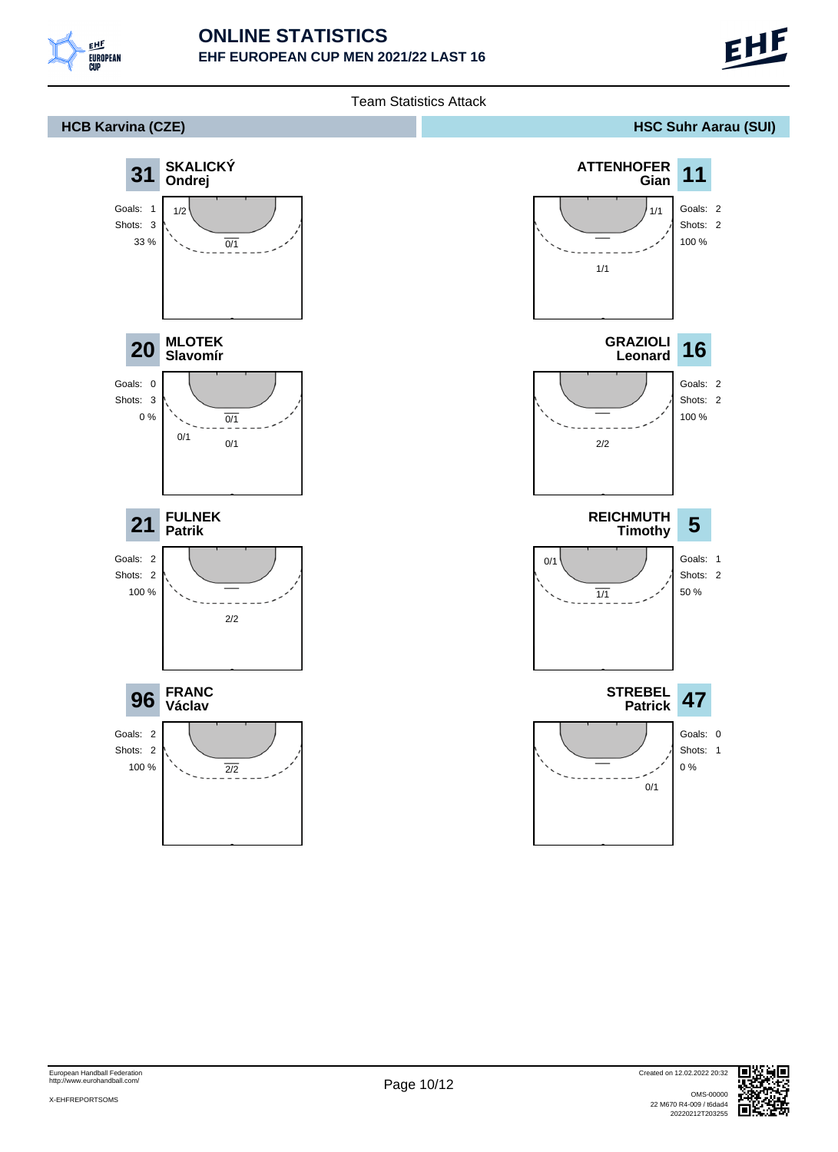

#### **ONLINE STATISTICS EHF EUROPEAN CUP MEN 2021/22 LAST 16**



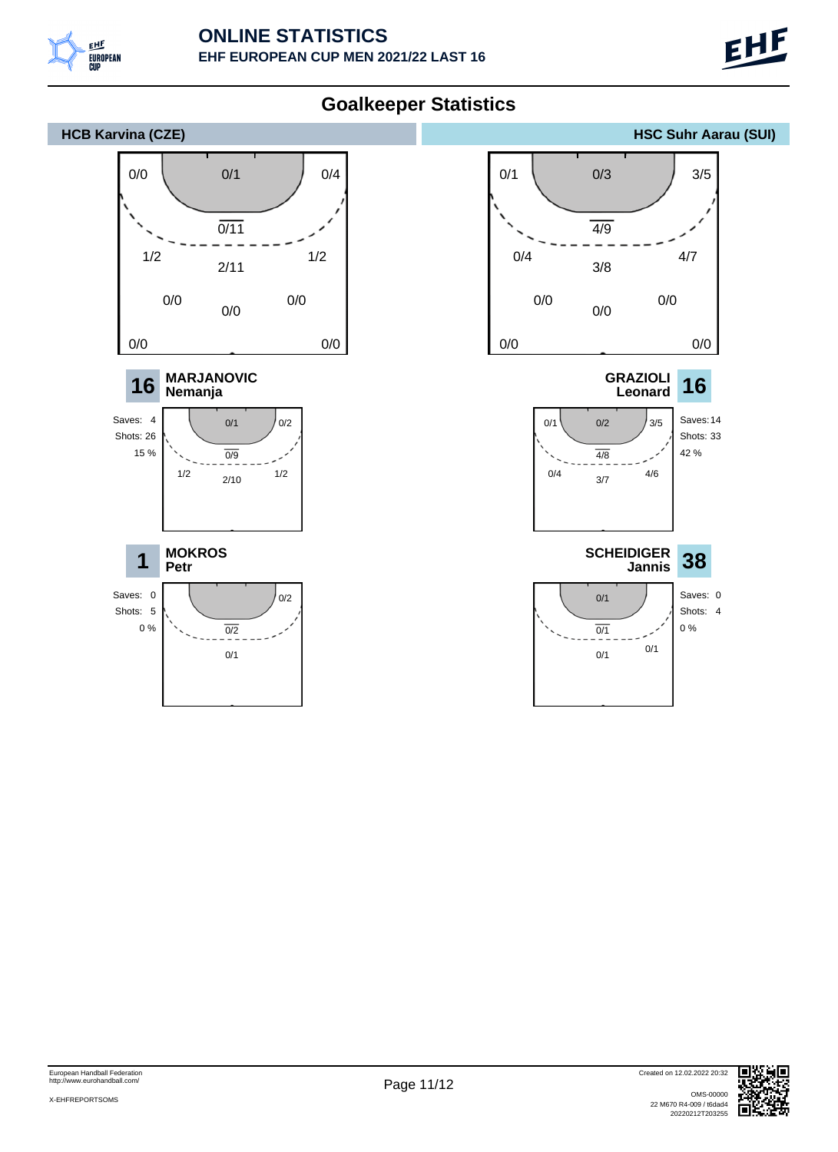